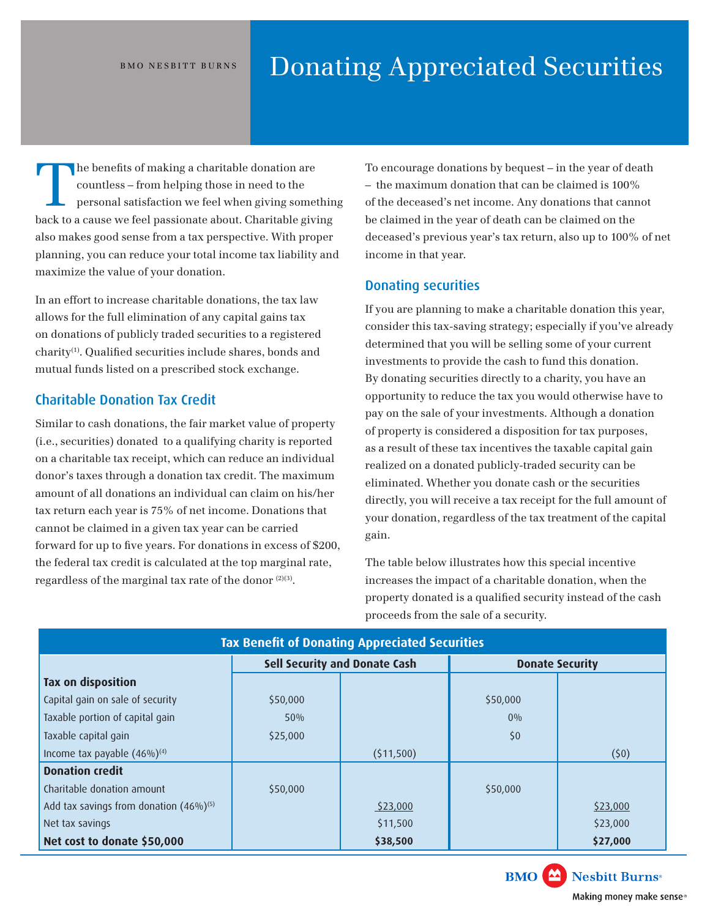# BMO NESBITT BURNS **Donating Appreciated Securities**

The benefits of making a charitable donation are<br>countless – from helping those in need to the<br>personal satisfaction we feel when giving some<br>health sixth help countless – from helping those in need to the personal satisfaction we feel when giving something back to a cause we feel passionate about. Charitable giving also makes good sense from a tax perspective. With proper planning, you can reduce your total income tax liability and maximize the value of your donation.

In an effort to increase charitable donations, the tax law allows for the full elimination of any capital gains tax on donations of publicly traded securities to a registered charity(1). Qualifed securities include shares, bonds and mutual funds listed on a prescribed stock exchange.

# Charitable Donation Tax Credit

Similar to cash donations, the fair market value of property (i.e., securities) donated to a qualifying charity is reported on a charitable tax receipt, which can reduce an individual donor's taxes through a donation tax credit. The maximum amount of all donations an individual can claim on his/her tax return each year is 75% of net income. Donations that cannot be claimed in a given tax year can be carried forward for up to fve years. For donations in excess of \$200, the federal tax credit is calculated at the top marginal rate, regardless of the marginal tax rate of the donor  $(2)(3)$ .

To encourage donations by bequest – in the year of death – the maximum donation that can be claimed is 100% of the deceased's net income. Any donations that cannot be claimed in the year of death can be claimed on the deceased's previous year's tax return, also up to 100% of net income in that year.

# Donating securities

If you are planning to make a charitable donation this year, consider this tax-saving strategy; especially if you've already determined that you will be selling some of your current investments to provide the cash to fund this donation. By donating securities directly to a charity, you have an opportunity to reduce the tax you would otherwise have to pay on the sale of your investments. Although a donation of property is considered a disposition for tax purposes, as a result of these tax incentives the taxable capital gain realized on a donated publicly-traded security can be eliminated. Whether you donate cash or the securities directly, you will receive a tax receipt for the full amount of your donation, regardless of the tax treatment of the capital gain.

The table below illustrates how this special incentive increases the impact of a charitable donation, when the property donated is a qualifed security instead of the cash proceeds from the sale of a security.

| <b>Tax Benefit of Donating Appreciated Securities</b> |                                      |           |                        |          |  |  |
|-------------------------------------------------------|--------------------------------------|-----------|------------------------|----------|--|--|
|                                                       | <b>Sell Security and Donate Cash</b> |           | <b>Donate Security</b> |          |  |  |
| Tax on disposition                                    |                                      |           |                        |          |  |  |
| Capital gain on sale of security                      | \$50,000                             |           | \$50,000               |          |  |  |
| Taxable portion of capital gain                       | 50%                                  |           | $0\%$                  |          |  |  |
| Taxable capital gain                                  | \$25,000                             |           | \$0\$                  |          |  |  |
| Income tax payable $(46\%)^{(4)}$                     |                                      | (511,500) |                        | (50)     |  |  |
| <b>Donation credit</b>                                |                                      |           |                        |          |  |  |
| Charitable donation amount                            | \$50,000                             |           | \$50,000               |          |  |  |
| Add tax savings from donation $(46\%)^{(5)}$          |                                      | \$23,000  |                        | \$23,000 |  |  |
| Net tax savings                                       |                                      | \$11,500  |                        | \$23,000 |  |  |
| Net cost to donate \$50,000                           |                                      | \$38,500  |                        | \$27,000 |  |  |





Making money make sense®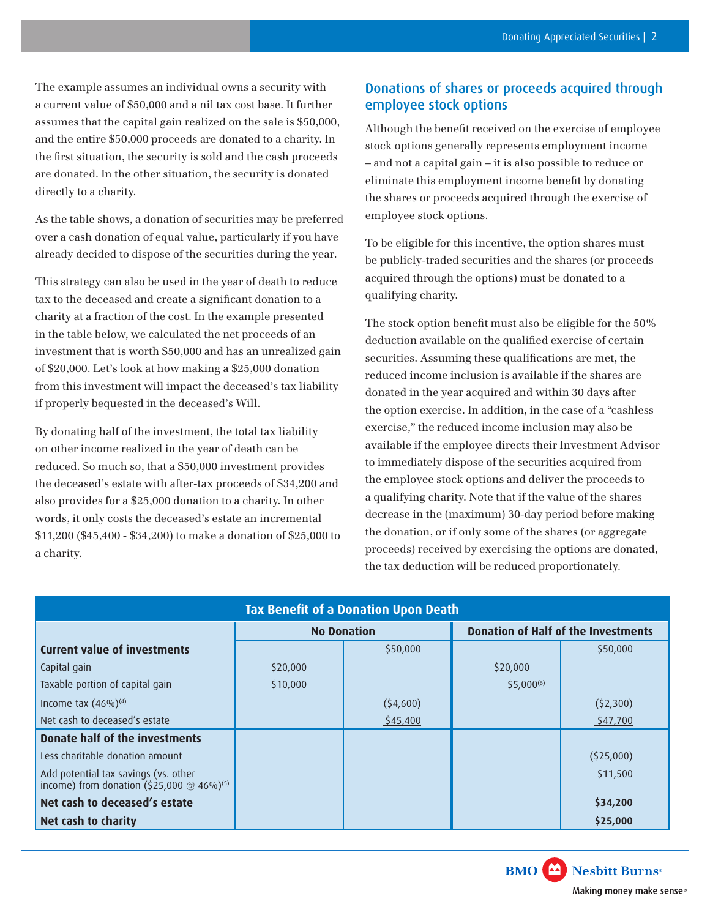The example assumes an individual owns a security with a current value of \$50,000 and a nil tax cost base. It further assumes that the capital gain realized on the sale is \$50,000, and the entire \$50,000 proceeds are donated to a charity. In the frst situation, the security is sold and the cash proceeds are donated. In the other situation, the security is donated directly to a charity.

As the table shows, a donation of securities may be preferred over a cash donation of equal value, particularly if you have already decided to dispose of the securities during the year.

This strategy can also be used in the year of death to reduce tax to the deceased and create a signifcant donation to a charity at a fraction of the cost. In the example presented in the table below, we calculated the net proceeds of an investment that is worth \$50,000 and has an unrealized gain of \$20,000. Let's look at how making a \$25,000 donation from this investment will impact the deceased's tax liability if properly bequested in the deceased's Will.

By donating half of the investment, the total tax liability on other income realized in the year of death can be reduced. So much so, that a \$50,000 investment provides the deceased's estate with after-tax proceeds of \$34,200 and also provides for a \$25,000 donation to a charity. In other words, it only costs the deceased's estate an incremental \$11,200 (\$45,400 - \$34,200) to make a donation of \$25,000 to a charity.

# Donations of shares or proceeds acquired through employee stock options

Although the beneft received on the exercise of employee stock options generally represents employment income – and not a capital gain – it is also possible to reduce or eliminate this employment income beneft by donating the shares or proceeds acquired through the exercise of employee stock options.

To be eligible for this incentive, the option shares must be publicly-traded securities and the shares (or proceeds acquired through the options) must be donated to a qualifying charity.

The stock option beneft must also be eligible for the 50% deduction available on the qualifed exercise of certain securities. Assuming these qualifcations are met, the reduced income inclusion is available if the shares are donated in the year acquired and within 30 days after the option exercise. In addition, in the case of a "cashless exercise," the reduced income inclusion may also be available if the employee directs their Investment Advisor to immediately dispose of the securities acquired from the employee stock options and deliver the proceeds to a qualifying charity. Note that if the value of the shares decrease in the (maximum) 30-day period before making the donation, or if only some of the shares (or aggregate proceeds) received by exercising the options are donated, the tax deduction will be reduced proportionately.

| <b>Tax Benefit of a Donation Upon Death</b>                                                     |                    |          |                                            |           |  |  |  |
|-------------------------------------------------------------------------------------------------|--------------------|----------|--------------------------------------------|-----------|--|--|--|
|                                                                                                 | <b>No Donation</b> |          | <b>Donation of Half of the Investments</b> |           |  |  |  |
| <b>Current value of investments</b>                                                             |                    | \$50,000 |                                            | \$50,000  |  |  |  |
| Capital gain                                                                                    | \$20,000           |          | \$20,000                                   |           |  |  |  |
| Taxable portion of capital gain                                                                 | \$10,000           |          | $$5.000^{(6)}$$                            |           |  |  |  |
| Income tax $(46\%)^{(4)}$                                                                       |                    | (54,600) |                                            | (52,300)  |  |  |  |
| Net cash to deceased's estate                                                                   |                    | \$45,400 |                                            | \$47,700  |  |  |  |
| Donate half of the investments                                                                  |                    |          |                                            |           |  |  |  |
| Less charitable donation amount                                                                 |                    |          |                                            | (525,000) |  |  |  |
| Add potential tax savings (vs. other<br>income) from donation $(525,000 \text{ @ } 46\%)^{(5)}$ |                    |          |                                            | \$11,500  |  |  |  |
| Net cash to deceased's estate                                                                   |                    |          |                                            | \$34,200  |  |  |  |
| Net cash to charity                                                                             |                    |          |                                            | \$25,000  |  |  |  |

### **BMO** Nesbitt Burns<sup>®</sup>

Making money make sense®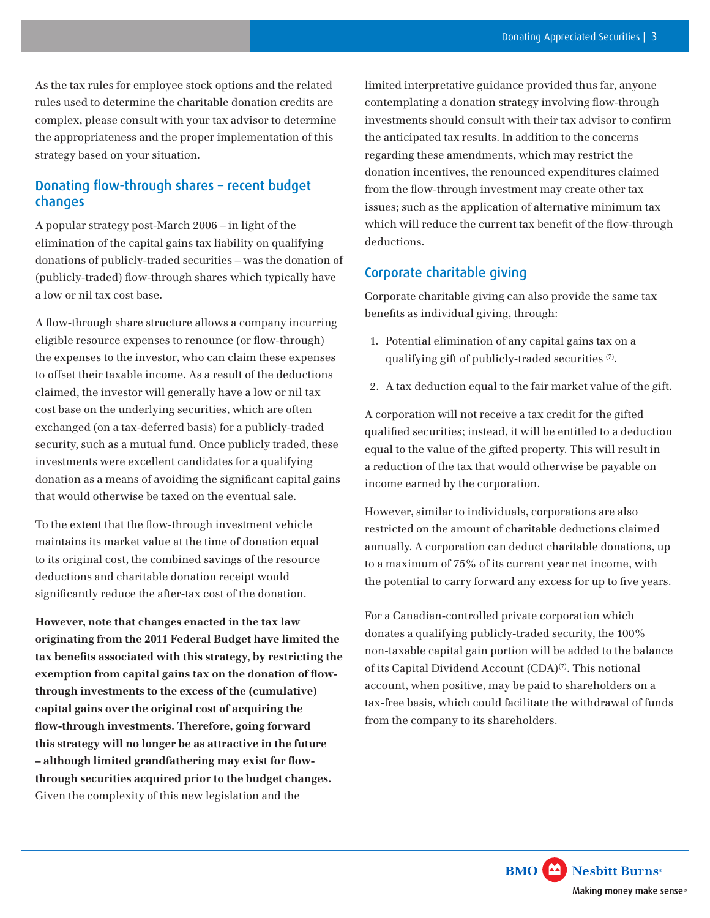As the tax rules for employee stock options and the related rules used to determine the charitable donation credits are complex, please consult with your tax advisor to determine the appropriateness and the proper implementation of this strategy based on your situation.

# Donating flow-through shares - recent budget changes

A popular strategy post-March 2006 – in light of the elimination of the capital gains tax liability on qualifying donations of publicly-traded securities – was the donation of (publicly-traded) fow-through shares which typically have a low or nil tax cost base.

A flow-through share structure allows a company incurring eligible resource expenses to renounce (or flow-through) the expenses to the investor, who can claim these expenses to offset their taxable income. As a result of the deductions claimed, the investor will generally have a low or nil tax cost base on the underlying securities, which are often exchanged (on a tax-deferred basis) for a publicly-traded security, such as a mutual fund. Once publicly traded, these investments were excellent candidates for a qualifying donation as a means of avoiding the signifcant capital gains that would otherwise be taxed on the eventual sale.

To the extent that the fow-through investment vehicle maintains its market value at the time of donation equal to its original cost, the combined savings of the resource deductions and charitable donation receipt would signifcantly reduce the after-tax cost of the donation.

**However, note that changes enacted in the tax law originating from the 2011 Federal Budget have limited the tax benefts associated with this strategy, by restricting the exemption from capital gains tax on the donation of fowthrough investments to the excess of the (cumulative) capital gains over the original cost of acquiring the fow-through investments. Therefore, going forward this strategy will no longer be as attractive in the future – although limited grandfathering may exist for fowthrough securities acquired prior to the budget changes.** Given the complexity of this new legislation and the

limited interpretative guidance provided thus far, anyone contemplating a donation strategy involving flow-through investments should consult with their tax advisor to confrm the anticipated tax results. In addition to the concerns regarding these amendments, which may restrict the donation incentives, the renounced expenditures claimed from the fow-through investment may create other tax issues; such as the application of alternative minimum tax which will reduce the current tax benefit of the flow-through deductions.

### Corporate charitable giving

Corporate charitable giving can also provide the same tax benefts as individual giving, through:

- 1. Potential elimination of any capital gains tax on a qualifying gift of publicly-traded securities (7).
- 2. A tax deduction equal to the fair market value of the gift.

A corporation will not receive a tax credit for the gifted qualifed securities; instead, it will be entitled to a deduction equal to the value of the gifted property. This will result in a reduction of the tax that would otherwise be payable on income earned by the corporation.

However, similar to individuals, corporations are also restricted on the amount of charitable deductions claimed annually. A corporation can deduct charitable donations, up to a maximum of 75% of its current year net income, with the potential to carry forward any excess for up to five years.

For a Canadian-controlled private corporation which donates a qualifying publicly-traded security, the 100% non-taxable capital gain portion will be added to the balance of its Capital Dividend Account (CDA)(7). This notional account, when positive, may be paid to shareholders on a tax-free basis, which could facilitate the withdrawal of funds from the company to its shareholders.